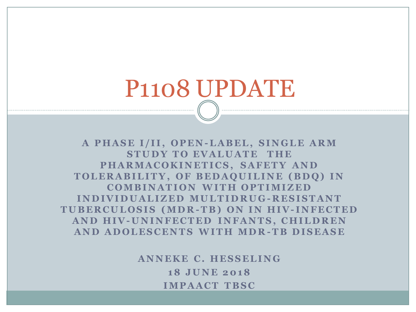# P1108 UPDATE

A PHASE I/II, OPEN-LABEL, SINGLE ARM **STUDY TO EVALUATE THE** PHARMACOKINETICS, SAFETY AND TOLERABILITY, OF BEDAQUILINE (BDQ) IN **COMBINATION WITH OPTIMIZED I N D I V I D U A L I Z E D MU L T I D R U G - R E S I S T A N T T U B E R C U L O S I S ( MD R - T B ) O N I N H I V- I N F E C T E D AND HIV-UNINFECTED INFANTS, CHILDREN A N D A D O L E S C E N T S W I T H MD R - T B D I S E A S E**

> **ANNEKE C. HESSELING 1 8 J U N E 2 0 1 8 IMPAACT TBSC**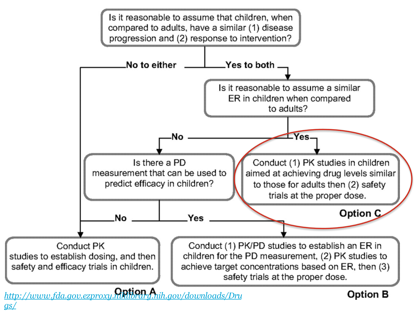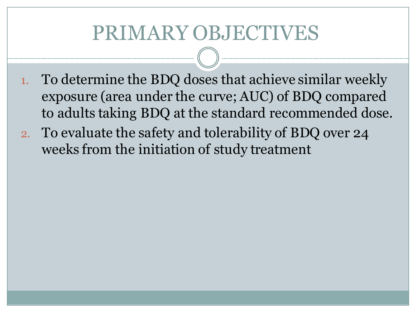### PRIMARY OBJECTIVES

- 1. To determine the BDQ doses that achieve similar weekly exposure (area under the curve; AUC) of BDQ compared to adults taking BDQ at the standard recommended dose.
- 2. To evaluate the safety and tolerability of BDQ over 24 weeks from the initiation of study treatment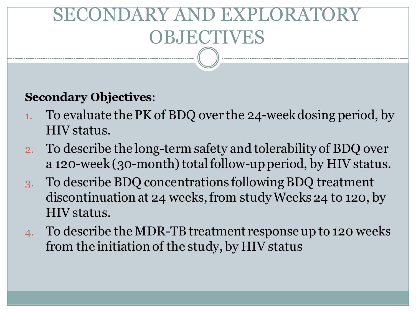## SDARY AND EXPLORA OBJECTIVES

#### **Secondary Objectives**:

- 1. To evaluate the PK of BDQ over the 24-week dosing period, by HIV status.
- 2. To describe the long-term safety and tolerability of BDQ over a 120-week (30-month) total follow-up period, by HIV status.
- 3. To describe BDQ concentrations following BDQ treatment discontinuation at 24 weeks, from study Weeks 24 to 120, by HIV status.
- 4. To describe the MDR-TB treatment response up to 120 weeks from the initiation of the study, by HIV status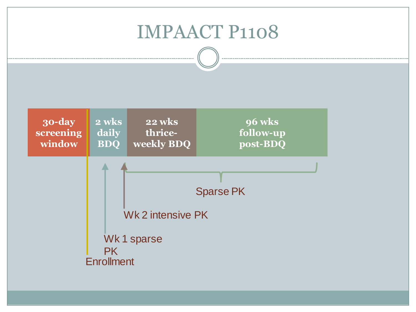#### IMPAACT P1108

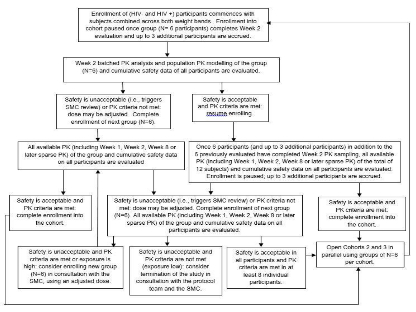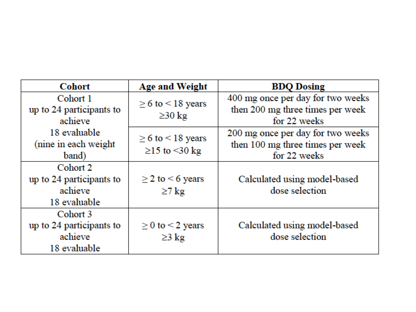| <b>Cohort</b>            | <b>Age and Weight</b>       | <b>BDQ Dosing</b>                 |
|--------------------------|-----------------------------|-----------------------------------|
| Cohort 1                 | $\geq 6$ to $\leq 18$ years | 400 mg once per day for two weeks |
| up to 24 participants to | $\geq$ 30 kg                | then 200 mg three times per week  |
| achieve                  |                             | for 22 weeks                      |
| 18 evaluable             | $\geq 6$ to $\leq 18$ years | 200 mg once per day for two weeks |
| (nine in each weight)    |                             | then 100 mg three times per week  |
| band)                    | $\geq$ 15 to <30 kg         | for 22 weeks                      |
| Cohort 2                 |                             |                                   |
| up to 24 participants to | $\geq$ 2 to $\leq$ 6 years  | Calculated using model-based      |
| achieve                  | $\geq$ 7 kg                 | dose selection                    |
| 18 evaluable             |                             |                                   |
| Cohort 3                 |                             |                                   |
| up to 24 participants to | $\geq$ 0 to < 2 years       | Calculated using model-based      |
| achieve                  | $\geq$ 3 kg                 | dose selection                    |
| 18 evaluable             |                             |                                   |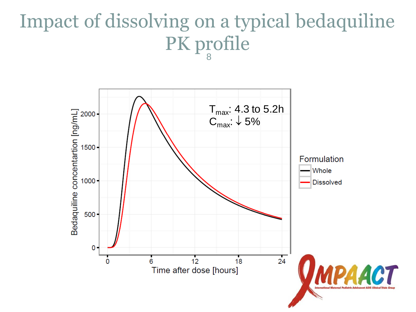#### Impact of dissolving on a typical bedaquiline PK profile 8

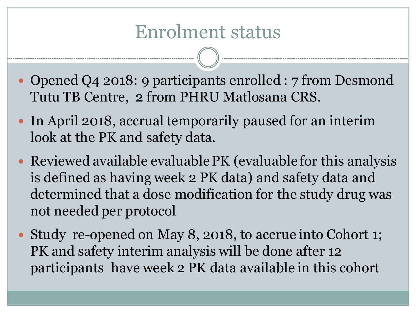#### Enrolment status

- Opened Q4 2018: 9 participants enrolled : 7 from Desmond Tutu TB Centre, 2 from PHRU Matlosana CRS.
- In April 2018, accrual temporarily paused for an interim look at the PK and safety data.
- Reviewed available evaluable PK (evaluable for this analysis is defined as having week 2 PK data) and safety data and determined that a dose modification for the study drug was not needed per protocol
- Study re-opened on May 8, 2018, to accrue into Cohort 1; PK and safety interim analysis will be done after 12 participants have week 2 PK data available in this cohort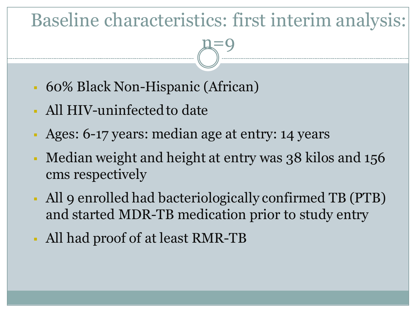#### Baseline characteristics: first interim analysis:

n=9

- 60% Black Non-Hispanic (African)
- All HIV-uninfected to date
- Ages: 6-17 years: median age at entry: 14 years
- Median weight and height at entry was 38 kilos and 156 cms respectively
- All 9 enrolled had bacteriologically confirmed TB (PTB) and started MDR-TB medication prior to study entry
- All had proof of at least RMR-TB